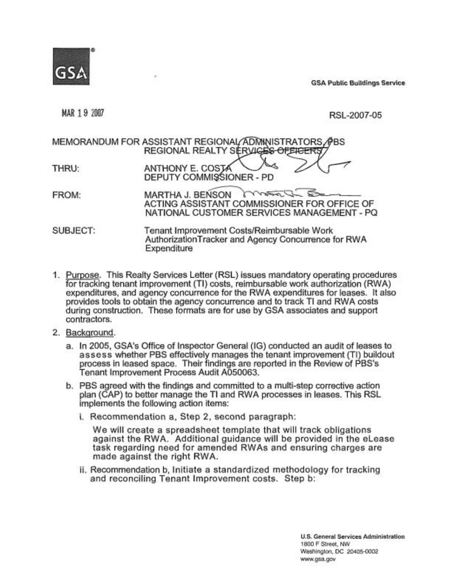

GSA **Public Buildings** Service

**MAR 19 2007 RSL-2007-05** 

# MEMORANDUM FOR ASSISTANT REGIONAL ADMINISTRATORS PRS REGIONAL REALTY SERVICES-OFFICERS THRU: ANTHONY E. COSTA DEPUTY COMMISSIONER - PD FROM: MARTHA J. BENSON **SLANT** ACTING ASSISTANT COMMISSIONER FOR OFFICE OF NATIONAL CUSTOMER SERVICES MANAGEMENT - PQ SUBJECT: Tenant Improvement Costs/Reimbursable Work AuthorizationTracker and Agency Concurrence for RWA **Expenditure**

- **1.** Purpose. This Realty Services Letter (RSL) issues mandatory operating procedures for tracking tenant improvement (TI) costs, reimbursable work authorization (RWA) expenditures, and agency concurrence for the RWA expenditures for leases. It also provides tools to obtain the agency concurrence and to track TI and RWA costs during construction. These formats are for use by GSA associates and support contractors.
- 2. Background.
	- a. In 2005, GSA's Office of Inspector General (IG) conducted an audit of leases to assess whether PBS effectively manages the tenant improvement (TI) buildout process in leased space. Their findings are reported in the Review of PBS's Tenant lmprovement Process Audit A050063.
	- b. PBS agreed with the findings and committed to a multi-step corrective action plan (CAP) to better manage the TI and RWA processes in leases. This RSL implements the following action items:
		- i. Recommendation a, Step 2, second paragraph:

We will create a spreadsheet template that will track obligations against the RWA. Additional guidance will be provided in the eLease task regarding need for amended RWAs and ensuring charges are made against the right RWA.

ii. Recommendation b, Initiate a standardized methodology for tracking and reconciling Tenant lmprovement costs. Step b: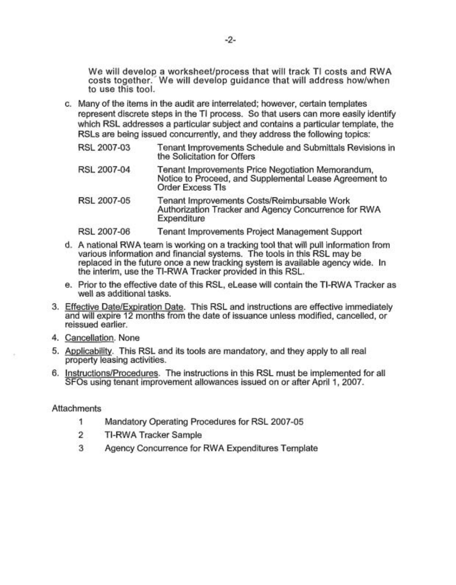We will develop a worksheet/process that will track TI costs and RWA costs together. We will develop guidance that will address how/when to use this tool.

- c. Many of the items in the audit are interrelated; however, certain templates represent discrete steps in the TI process. So that users can more easily identify which RSL addresses a particular subject and contains a particular template, the RSLs are being issued concurrently, and they address the following topics:
	- RSL 2007-03 Tenant Improvements Schedule and Submittals Revisions in the Solicitation for Offers RSL 2007-04 Tenant Improvements Price Negotiation Memorandum, Notice to Proceed, and Supplemental Lease Agreement to Order Excess Tls RSL 2007-05 Tenant Improvements Costs/Reimbursable Work Authorization Tracker and Agency Concurrence for RWA Expenditure
	- RSL 2007-06 Tenant Improvements Project Management Support
- d. A national RWA team is working on a tracking tool that will pull information from various information and financial systems. The tools in this RSL may be replaced in the future once a new tracking system is available agency wide. In the interim, use the TI-RWA Tracker provided in this RSL.
- e. Prior to the effective date of this RSL, eLease will contain the TI-RWA Tracker as well as additional tasks.
- 3. Effective Date/Expiration Date. This RSL and instructions are effective immediately and will expire 12 months from the date of issuance unless modified, cancelled, or reissued earlier.
- 4. Cancellation. None
- 5. Applicability. This RSL and its tools are mandatory, and they apply to all real property leasing activities.
- 6. lnstructionslProcedures. The instructions in this RSL must be implemented for all SFOs using tenant improvement allowances issued on or after April 1,2007.

### **Attachments**

- 1 Mandatory Operating Procedures for RSL 2007-05
- 2 TI-RWA Tracker Sample
- 3 Agency Concurrence for RWA Expenditures Template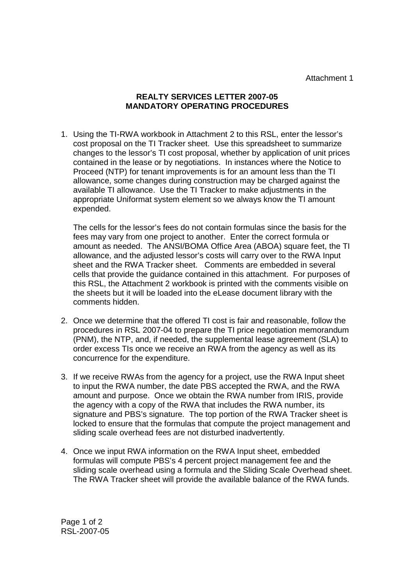Attachment 1

## **REALTY SERVICES LETTER 2007-05 MANDATORY OPERATING PROCEDURES**

1. Using the TI-RWA workbook in Attachment 2 to this RSL, enter the lessor's cost proposal on the TI Tracker sheet. Use this spreadsheet to summarize changes to the lessor's TI cost proposal, whether by application of unit prices contained in the lease or by negotiations. In instances where the Notice to Proceed (NTP) for tenant improvements is for an amount less than the TI allowance, some changes during construction may be charged against the available TI allowance. Use the TI Tracker to make adjustments in the appropriate Uniformat system element so we always know the TI amount expended.

The cells for the lessor's fees do not contain formulas since the basis for the fees may vary from one project to another. Enter the correct formula or amount as needed. The ANSI/BOMA Office Area (ABOA) square feet, the TI allowance, and the adjusted lessor's costs will carry over to the RWA Input sheet and the RWA Tracker sheet. Comments are embedded in several cells that provide the guidance contained in this attachment. For purposes of this RSL, the Attachment 2 workbook is printed with the comments visible on the sheets but it will be loaded into the eLease document library with the comments hidden.

- 2. Once we determine that the offered TI cost is fair and reasonable, follow the procedures in RSL 2007-04 to prepare the TI price negotiation memorandum (PNM), the NTP, and, if needed, the supplemental lease agreement (SLA) to order excess TIs once we receive an RWA from the agency as well as its concurrence for the expenditure.
- 3. If we receive RWAs from the agency for a project, use the RWA Input sheet to input the RWA number, the date PBS accepted the RWA, and the RWA amount and purpose. Once we obtain the RWA number from IRIS, provide the agency with a copy of the RWA that includes the RWA number, its signature and PBS's signature. The top portion of the RWA Tracker sheet is locked to ensure that the formulas that compute the project management and sliding scale overhead fees are not disturbed inadvertently.
- 4. Once we input RWA information on the RWA Input sheet, embedded formulas will compute PBS's 4 percent project management fee and the sliding scale overhead using a formula and the Sliding Scale Overhead sheet. The RWA Tracker sheet will provide the available balance of the RWA funds.

Page 1 of 2 RSL-2007-05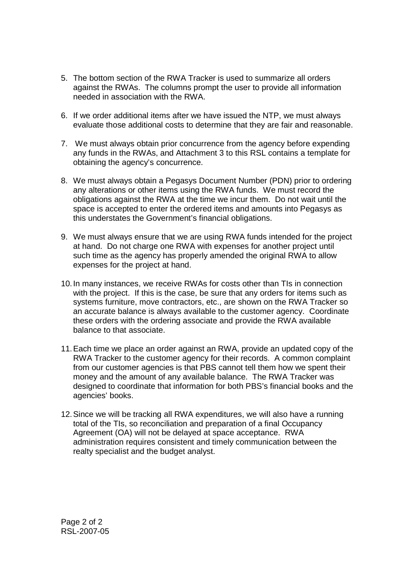- 5. The bottom section of the RWA Tracker is used to summarize all orders against the RWAs. The columns prompt the user to provide all information needed in association with the RWA.
- 6. If we order additional items after we have issued the NTP, we must always evaluate those additional costs to determine that they are fair and reasonable.
- 7. We must always obtain prior concurrence from the agency before expending any funds in the RWAs, and Attachment 3 to this RSL contains a template for obtaining the agency's concurrence.
- 8. We must always obtain a Pegasys Document Number (PDN) prior to ordering any alterations or other items using the RWA funds. We must record the obligations against the RWA at the time we incur them. Do not wait until the space is accepted to enter the ordered items and amounts into Pegasys as this understates the Government's financial obligations.
- 9. We must always ensure that we are using RWA funds intended for the project at hand. Do not charge one RWA with expenses for another project until such time as the agency has properly amended the original RWA to allow expenses for the project at hand.
- 10.In many instances, we receive RWAs for costs other than TIs in connection with the project. If this is the case, be sure that any orders for items such as systems furniture, move contractors, etc., are shown on the RWA Tracker so an accurate balance is always available to the customer agency. Coordinate these orders with the ordering associate and provide the RWA available balance to that associate.
- 11.Each time we place an order against an RWA, provide an updated copy of the RWA Tracker to the customer agency for their records. A common complaint from our customer agencies is that PBS cannot tell them how we spent their money and the amount of any available balance. The RWA Tracker was designed to coordinate that information for both PBS's financial books and the agencies' books.
- 12.Since we will be tracking all RWA expenditures, we will also have a running total of the TIs, so reconciliation and preparation of a final Occupancy Agreement (OA) will not be delayed at space acceptance. RWA administration requires consistent and timely communication between the realty specialist and the budget analyst.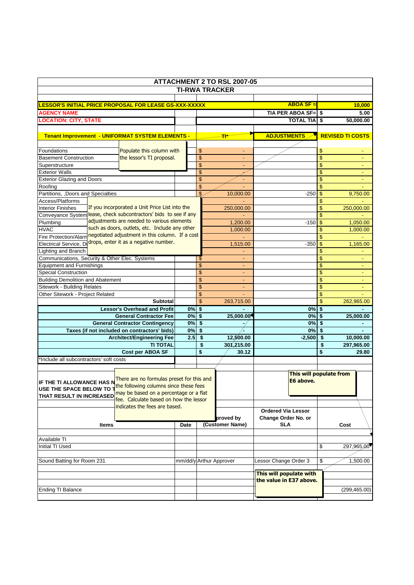| <b>ATTACHMENT 2 TO RSL 2007-05</b><br><b>TI-RWA TRACKER</b>                                                                                                                                                        |                                                                         |     |                                      |                          |                                                    |                 |                         |  |  |
|--------------------------------------------------------------------------------------------------------------------------------------------------------------------------------------------------------------------|-------------------------------------------------------------------------|-----|--------------------------------------|--------------------------|----------------------------------------------------|-----------------|-------------------------|--|--|
| LESSOR'S INITIAL PRICE PROPOSAL FOR LEASE GS-XXX-XXXXX                                                                                                                                                             |                                                                         |     |                                      |                          | $ABOA SF =$                                        |                 | 10,000                  |  |  |
| <b>AGENCY NAME</b>                                                                                                                                                                                                 |                                                                         |     |                                      |                          | TIA PER ABOA SF= \$                                |                 | 5.00                    |  |  |
| <b>OCATION: CITY, STATE</b>                                                                                                                                                                                        |                                                                         |     |                                      |                          | <b>TOTAL TIA</b> \$                                |                 | 50,000.00               |  |  |
|                                                                                                                                                                                                                    |                                                                         |     |                                      |                          |                                                    |                 |                         |  |  |
| <b>Tenant Improvement - UNIFORMAT SYSTEM ELEMENTS -</b>                                                                                                                                                            |                                                                         |     |                                      | <b>干</b>                 | <b>ADJUSTMENTS</b>                                 |                 | <b>REVISED TI COSTS</b> |  |  |
|                                                                                                                                                                                                                    |                                                                         |     |                                      |                          |                                                    |                 |                         |  |  |
| Foundations                                                                                                                                                                                                        | Populate this column with                                               |     | \$                                   |                          |                                                    | \$              |                         |  |  |
| <b>Basement Construction</b>                                                                                                                                                                                       | the lessor's TI proposal.                                               |     | \$                                   |                          |                                                    | $\overline{\$}$ |                         |  |  |
| Superstructure                                                                                                                                                                                                     |                                                                         |     | \$                                   |                          |                                                    | \$              |                         |  |  |
| <b>Exterior Walls</b>                                                                                                                                                                                              |                                                                         |     | \$                                   |                          |                                                    | \$              |                         |  |  |
| <b>Exterior Glazing and Doors</b>                                                                                                                                                                                  |                                                                         |     | \$                                   |                          |                                                    | $\mathsf{\$}$   |                         |  |  |
| Roofing                                                                                                                                                                                                            |                                                                         |     | \$                                   |                          |                                                    | \$              |                         |  |  |
| Partitions, , Doors and Specialties                                                                                                                                                                                |                                                                         |     | \$                                   | 10,000.00                | $-250$                                             | \$              | 9,750.00                |  |  |
| Access/Platforms                                                                                                                                                                                                   |                                                                         |     |                                      |                          |                                                    | \$              |                         |  |  |
| <b>Interior Finishes</b>                                                                                                                                                                                           | If you incorporated a Unit Price List into the                          |     |                                      | 250,000.00               |                                                    | \$              | 250,000.00              |  |  |
| Conveyance System lease, check subcontractors' bids to see if any                                                                                                                                                  |                                                                         |     |                                      |                          |                                                    | \$              |                         |  |  |
| Plumbing                                                                                                                                                                                                           | adjustments are needed to various elements                              |     |                                      | 1,200.00                 | $-150$ \$                                          |                 | 1,050.00                |  |  |
| <b>HVAC</b>                                                                                                                                                                                                        | such as doors, outlets, etc. Include any other                          |     |                                      | 1,000.00                 |                                                    | \$              | 1,000.00                |  |  |
| Fire Protection/Alarm <sup>inegotiated</sup> adjustment in this column. If a cost                                                                                                                                  |                                                                         |     |                                      |                          |                                                    | \$              |                         |  |  |
| Electrical Service, Didrops, enter it as a negative number.                                                                                                                                                        |                                                                         |     |                                      | 1,515.00                 | $-350$                                             | \$              | 1,165.00                |  |  |
| Lighting and Branch                                                                                                                                                                                                |                                                                         |     |                                      |                          |                                                    | \$              |                         |  |  |
| Communications, Security & Other Elec. Systems                                                                                                                                                                     |                                                                         |     | \$                                   |                          |                                                    | \$              |                         |  |  |
| <b>Equipment and Furnishings</b>                                                                                                                                                                                   |                                                                         |     | \$                                   |                          |                                                    | \$              |                         |  |  |
| <b>Special Construction</b>                                                                                                                                                                                        |                                                                         |     | \$                                   |                          |                                                    | \$              |                         |  |  |
| <b>Building Demolition and Abatement</b>                                                                                                                                                                           |                                                                         |     | \$                                   |                          |                                                    | \$              |                         |  |  |
| Sitework - Building Relates                                                                                                                                                                                        |                                                                         |     | \$                                   |                          |                                                    | $\overline{\$}$ |                         |  |  |
| Other Sitework - Project Related                                                                                                                                                                                   |                                                                         |     | \$                                   | $\overline{\phantom{a}}$ |                                                    | $\mathsf{\$}$   |                         |  |  |
|                                                                                                                                                                                                                    | <b>Subtotal</b>                                                         |     | \$                                   | 263,715.00               |                                                    | \$              | 262,965.00              |  |  |
|                                                                                                                                                                                                                    | <b>Lessor's Overhead and Profit</b>                                     | 0%  | \$                                   |                          | $0%$ \$                                            |                 |                         |  |  |
|                                                                                                                                                                                                                    | <b>General Contractor Fee</b>                                           | 0%  | $\overline{\boldsymbol{\mathsf{s}}}$ | 25,000.00                | $0%$ \$                                            |                 | 25,000.00               |  |  |
|                                                                                                                                                                                                                    | <b>General Contractor Contingency</b>                                   | 0%  | \$                                   |                          | 0%                                                 | \$              |                         |  |  |
|                                                                                                                                                                                                                    | Taxes (if not included on contractors' bids)                            | 0%  | \$                                   |                          | 0%                                                 | \$              |                         |  |  |
|                                                                                                                                                                                                                    | <b>Architect/Engineering Fee</b>                                        | 2.5 | \$                                   | 12,500.00                | $-2,500$                                           | \$              | 10,000.00               |  |  |
|                                                                                                                                                                                                                    | <b>TI TOTAL</b>                                                         |     | \$                                   | 301,215.00               |                                                    | \$              | 297,965.00              |  |  |
|                                                                                                                                                                                                                    | <b>Cost per ABOA SF</b>                                                 |     | \$                                   | 30.12                    |                                                    | \$              | 29.80                   |  |  |
| *Include all subcontractors' soft costs                                                                                                                                                                            |                                                                         |     |                                      |                          |                                                    |                 |                         |  |  |
|                                                                                                                                                                                                                    |                                                                         |     |                                      |                          |                                                    |                 |                         |  |  |
| IF THE TI ALLOWANCE HAS Natural control of ormulas preset for this and<br>the following columns since these fees<br>USE THE SPACE BELOW TO 1<br>may be based on a percentage or a flat<br>THAT RESULT IN INCREASED |                                                                         |     |                                      |                          | This will populate from<br>E6 above.               |                 |                         |  |  |
|                                                                                                                                                                                                                    | fee. Calculate based on how the lessor<br>indicates the fees are based. |     |                                      |                          |                                                    |                 |                         |  |  |
|                                                                                                                                                                                                                    |                                                                         |     |                                      |                          | <b>Ordered Via Lessor</b>                          |                 |                         |  |  |
|                                                                                                                                                                                                                    |                                                                         |     | proved by                            |                          | Change Order No. or                                |                 |                         |  |  |
| Items                                                                                                                                                                                                              |                                                                         |     |                                      | (Customer Name)          | <b>SLA</b>                                         | Cost            |                         |  |  |
|                                                                                                                                                                                                                    |                                                                         |     |                                      |                          |                                                    |                 |                         |  |  |
| Available TI                                                                                                                                                                                                       |                                                                         |     |                                      |                          |                                                    |                 |                         |  |  |
| <b>Initial TI Used</b>                                                                                                                                                                                             |                                                                         |     |                                      |                          |                                                    | \$              | 297,965,00              |  |  |
| Sound Batting for Room 231                                                                                                                                                                                         |                                                                         |     |                                      | mm/dd/y Arthur Approver  | Lessor Change Order 3                              | \$<br>1,500.00  |                         |  |  |
|                                                                                                                                                                                                                    |                                                                         |     |                                      |                          | This will populate with<br>the value in E37 above. |                 |                         |  |  |
| <b>Ending TI Balance</b>                                                                                                                                                                                           |                                                                         |     |                                      |                          |                                                    |                 | (299, 465.00)           |  |  |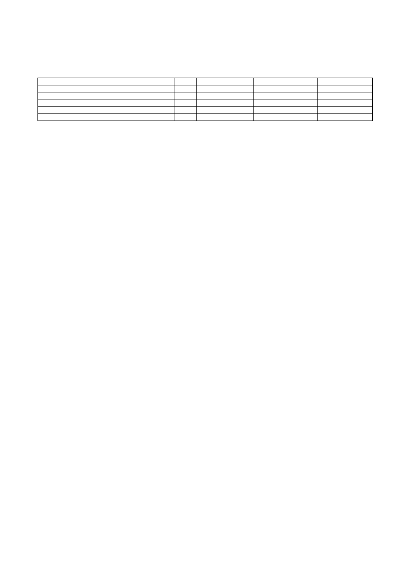| the control of the control of the control of the control of the control of |  |  |
|----------------------------------------------------------------------------|--|--|
|                                                                            |  |  |
|                                                                            |  |  |
|                                                                            |  |  |
|                                                                            |  |  |
|                                                                            |  |  |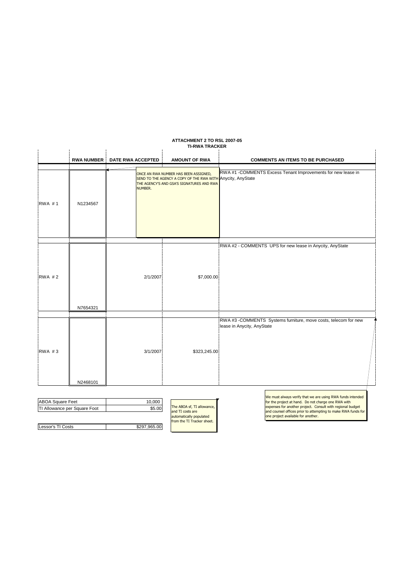|                         | <b>TI-RWA TRACKER</b>       |                                |                                                                                                                                                   |                                                                                                                                                                                 |  |  |  |  |
|-------------------------|-----------------------------|--------------------------------|---------------------------------------------------------------------------------------------------------------------------------------------------|---------------------------------------------------------------------------------------------------------------------------------------------------------------------------------|--|--|--|--|
|                         |                             | RWA NUMBER   DATE RWA ACCEPTED | <b>AMOUNT OF RWA</b>                                                                                                                              | <b>COMMENTS AN ITEMS TO BE PURCHASED</b>                                                                                                                                        |  |  |  |  |
| <b>RWA #1</b>           | N1234567                    | NUMBER.                        | ONCE AN RWA NUMBER HAS BEEN ASSIGNED,<br>SEND TO THE AGENCY A COPY OF THE RWA WITH Anycity, AnyState<br>THE AGENCY'S AND GSA'S SIGNATURES AND RWA | RWA #1 -COMMENTS Excess Tenant Improvements for new lease in                                                                                                                    |  |  |  |  |
| <b>RWA #2</b>           | N7654321                    | 2/1/2007                       | \$7,000.00                                                                                                                                        | RWA #2 - COMMENTS UPS for new lease in Anycity, AnyState                                                                                                                        |  |  |  |  |
| $RWA$ #3                | N2468101                    | 3/1/2007                       | \$323,245.00                                                                                                                                      | RWA #3 -COMMENTS Systems furniture, move costs, telecom for new<br>lease in Anycity, AnyState                                                                                   |  |  |  |  |
| <b>ABOA Square Feet</b> | TLAILOWODOO DOS COUOSO FOOT | 10,000<br>$E E \cap 0$         | The ABOA sf, TI allowance,                                                                                                                        | We must always verify that we are using RWA funds intended<br>for the project at hand. Do not charge one RWA with<br>expenses for another project. Consult with regional budget |  |  |  |  |

#### **TI-RWA TRACKER ATTACHMENT 2 TO RSL 2007-05**

| <b>ABOA Square Feet</b>      | 10,000       |                                                       |
|------------------------------|--------------|-------------------------------------------------------|
| TI Allowance per Square Foot | \$5.00       | The ABOA sf, TI allowance<br>and TI costs are         |
|                              |              | automatically populated<br>from the TI Tracker sheet. |
| Lessor's TI Costs            | \$297,965.00 |                                                       |

expenses for another project. Consult with regional budget and counsel offices prior to attempting to make RWA funds for one project available for another.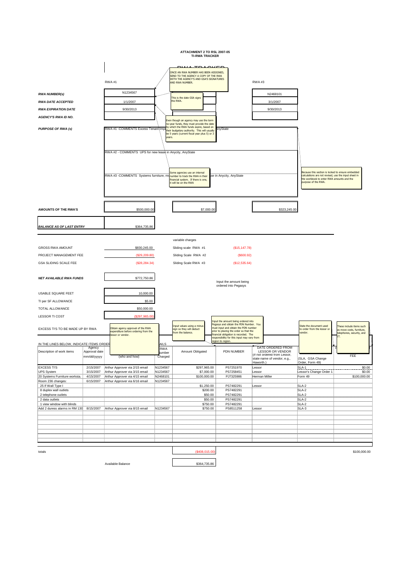

Available Balance \$364,735.86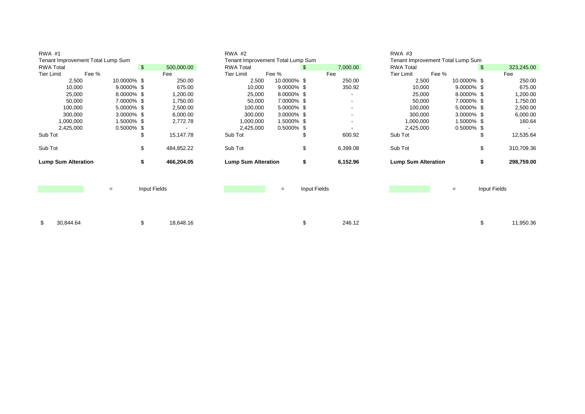| <b>RWA #1</b>                     |               |    | RWA #2                            |                            |               |     | RWA #3                            |                            |               |              |            |
|-----------------------------------|---------------|----|-----------------------------------|----------------------------|---------------|-----|-----------------------------------|----------------------------|---------------|--------------|------------|
| Tenant Improvement Total Lump Sum |               |    | Tenant Improvement Total Lump Sum |                            |               |     | Tenant Improvement Total Lump Sum |                            |               |              |            |
| <b>RWA Total</b>                  |               | \$ | 500,000.00                        | <b>RWA Total</b>           |               | \$. | 7,000.00                          | <b>RWA Total</b>           |               | \$           | 323,245.00 |
| Tier Limit<br>Fee %               |               |    | Fee                               | <b>Tier Limit</b>          | Fee %         |     | Fee                               | <b>Tier Limit</b>          | Fee %         |              | Fee        |
| 2,500                             | 10.0000% \$   |    | 250.00                            | 2,500                      | 10.0000% \$   |     | 250.00                            | 2,500                      | 10.0000% \$   |              | 250.00     |
| 10,000                            | $9.0000\%$ \$ |    | 675.00                            | 10,000                     | $9.0000\%$ \$ |     | 350.92                            | 10,000                     | $9.0000\%$ \$ |              | 675.00     |
| 25,000                            | 8.0000% \$    |    | 1,200.00                          | 25,000                     | 8.0000% \$    |     |                                   | 25,000                     | 8.0000% \$    |              | 1,200.00   |
| 50,000                            | 7.0000% \$    |    | 1,750.00                          | 50,000                     | 7.0000% \$    |     | $\overline{\phantom{a}}$          | 50,000                     | 7.0000% \$    |              | 1,750.00   |
| 100,000                           | 5.0000% \$    |    | 2,500.00                          | 100,000                    | 5.0000% \$    |     | $\blacksquare$                    | 100,000                    | 5.0000% \$    |              | 2,500.00   |
| 300,000                           | 3.0000% \$    |    | 6,000.00                          | 300,000                    | $3.0000\%$ \$ |     |                                   | 300,000                    | 3.0000% \$    |              | 6,000.00   |
| 1,000,000                         | 1.5000% \$    |    | 2,772.78                          | 1,000,000                  | 1.5000% \$    |     |                                   | 1,000,000                  | 1.5000% \$    |              | 160.64     |
| 2,425,000                         | 0.5000% \$    |    |                                   | 2,425,000                  | $0.5000\%$ \$ |     |                                   | 2,425,000                  | $0.5000\%$ \$ |              |            |
| Sub Tot                           |               |    | 15,147.78                         | Sub Tot                    |               |     | 600.92                            | Sub Tot                    |               |              | 12,535.64  |
| Sub Tot                           |               | \$ | 484,852.22                        | Sub Tot                    |               | \$  | 6,399.08                          | Sub Tot                    |               | \$           | 310,709.36 |
| <b>Lump Sum Alteration</b>        |               | \$ | 466,204.05                        | <b>Lump Sum Alteration</b> |               | \$  | 6,152.96                          | <b>Lump Sum Alteration</b> |               | \$           | 298,759.00 |
|                                   |               |    | Input Fields                      |                            | $=$           |     | Input Fields                      |                            |               | Input Fields |            |
|                                   | $=$           |    |                                   |                            |               |     |                                   |                            | $=$           |              |            |
|                                   |               |    |                                   |                            |               |     |                                   |                            |               |              |            |
|                                   |               |    |                                   |                            |               |     |                                   |                            |               |              |            |
|                                   |               |    |                                   |                            |               |     |                                   |                            |               |              |            |

 $$30,844.64 \qquad \qquad $5 \qquad \qquad 18,648.16 \qquad \qquad $246.12 \qquad \qquad $5 \qquad \qquad 11,950.36$